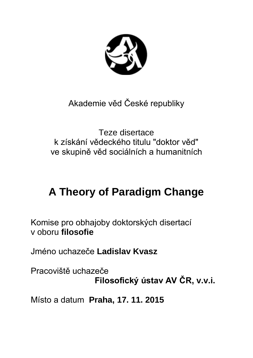

## Akademie věd České republiky

Teze disertace k získání vědeckého titulu "doktor věd" ve skupině věd sociálních a humanitních

# **A Theory of Paradigm Change**

Komise pro obhajoby doktorských disertací v oboru **filosofie**

Jméno uchazeče **Ladislav Kvasz**

Pracoviště uchazeče **Filosofický ústav AV ČR, v.v.i.**

Místo a datum **Praha, 17. 11. 2015**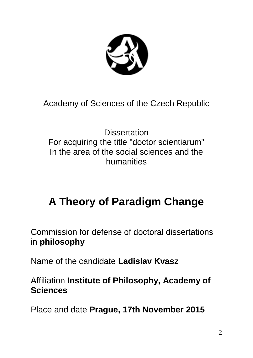

Academy of Sciences of the Czech Republic

**Dissertation** For acquiring the title "doctor scientiarum" In the area of the social sciences and the humanities

# **A Theory of Paradigm Change**

Commission for defense of doctoral dissertations in **philosophy**

Name of the candidate **Ladislav Kvasz**

Affiliation **Institute of Philosophy, Academy of Sciences** 

Place and date **Prague, 17th November 2015**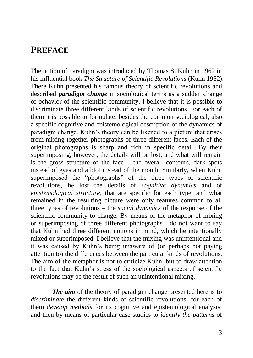## **PREFACE**

The notion of paradigm was introduced by Thomas S. Kuhn in 1962 in his influential book *The Structure of Scientific Revolutions* (Kuhn 1962). There Kuhn presented his famous theory of scientific revolutions and described *paradigm change* in sociological terms as a sudden change of behavior of the scientific community. I believe that it is possible to discriminate three different kinds of scientific revolutions. For each of them it is possible to formulate, besides the common sociological, also a specific cognitive and epistemological description of the dynamics of paradigm change. Kuhn's theory can be likened to a picture that arises from mixing together photographs of three different faces. Each of the original photographs is sharp and rich in specific detail. By their superimposing, however, the details will be lost, and what will remain is the gross structure of the face – the overall contours, dark spots instead of eyes and a blot instead of the mouth. Similarly, when Kuhn superimposed the "photographs" of the three types of scientific revolutions, he lost the details of *cognitive dynamics* and of *epistemological structure*, that are specific for each type, and what remained in the resulting picture were only features common to all three types of revolutions – the *social dynamics* of the response of the scientific community to change. By means of the metaphor of mixing or superimposing of three different photographs I do not want to say that Kuhn had three different notions in mind, which he intentionally mixed or superimposed. I believe that the mixing was unintentional and it was caused by Kuhn's being unaware of (or perhaps not paying attention to) the differences between the particular kinds of revolutions. The aim of the metaphor is not to criticize Kuhn, but to draw attention to the fact that Kuhn's stress of the sociological aspects of scientific revolutions may be the result of such an unintentional mixing.

*The aim* of the theory of paradigm change presented here is to *discriminate* the different kinds of scientific revolutions; for each of them *develop methods* for its cognitive and epistemological analysis; and then by means of particular case studies to *identify the patterns* of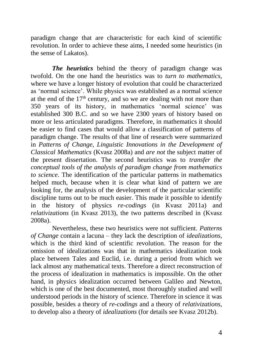paradigm change that are characteristic for each kind of scientific revolution. In order to achieve these aims, I needed some heuristics (in the sense of Lakatos).

*The heuristics* behind the theory of paradigm change was twofold. On the one hand the heuristics was to *turn to mathematics*, where we have a longer history of evolution that could be characterized as 'normal science'. While physics was established as a normal science at the end of the  $17<sup>th</sup>$  century, and so we are dealing with not more than 350 years of its history, in mathematics 'normal science' was established 300 B.C. and so we have 2300 years of history based on more or less articulated paradigms. Therefore, in mathematics it should be easier to find cases that would allow a classification of patterns of paradigm change. The results of that line of research were summarized in *Patterns of Change, Linguistic Innovations in the Development of Classical Mathematics* (Kvasz 2008a) and *are not* the subject matter of the present dissertation. The second heuristics was to *transfer the conceptual tools of the analysis of paradigm change from mathematics to science*. The identification of the particular patterns in mathematics helped much, because when it is clear what kind of pattern we are looking for, the analysis of the development of the particular scientific discipline turns out to be much easier. This made it possible to identify in the history of physics *re-codings* (in Kvasz 2011a) and *relativizations* (in Kvasz 2013), the two patterns described in (Kvasz 2008a).

Nevertheless, these two heuristics were not sufficient. *Patterns of Change* contain a lacuna – they lack the description of *idealizations*, which is the third kind of scientific revolution. The reason for the omission of idealizations was that in mathematics idealization took place between Tales and Euclid, i.e. during a period from which we lack almost any mathematical texts. Therefore a direct reconstruction of the process of idealization in mathematics is impossible. On the other hand, in physics idealization occurred between Galileo and Newton, which is one of the best documented, most thoroughly studied and well understood periods in the history of science. Therefore in science it was possible, besides a theory of *re-codings* and a theory of *relativizations*, to develop also a theory of *idealizations* (for details see Kvasz 2012b).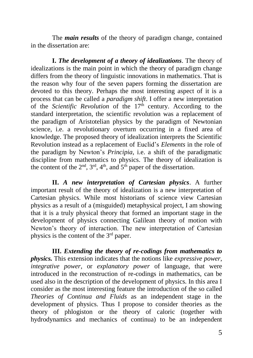The *main results* of the theory of paradigm change, contained in the dissertation are:

**I.** *The development of a theory of idealizations*. The theory of idealizations is the main point in which the theory of paradigm change differs from the theory of linguistic innovations in mathematics. That is the reason why four of the seven papers forming the dissertation are devoted to this theory. Perhaps the most interesting aspect of it is a process that can be called a *paradigm shift*. I offer a new interpretation of the *Scientific Revolution* of the 17<sup>th</sup> century. According to the standard interpretation, the scientific revolution was a replacement of the paradigm of Aristotelian physics by the paradigm of Newtonian science, i.e. a revolutionary overturn occurring in a fixed area of knowledge. The proposed theory of idealization interprets the Scientific Revolution instead as a replacement of Euclid's *Elements* in the role of the paradigm by Newton's *Principia*, i.e. a shift of the paradigmatic discipline from mathematics to physics. The theory of idealization is the content of the  $2<sup>nd</sup>$ ,  $3<sup>rd</sup>$ ,  $4<sup>th</sup>$ , and  $5<sup>th</sup>$  paper of the dissertation.

**II.** *A new interpretation of Cartesian physics*. A further important result of the theory of idealization is a new interpretation of Cartesian physics. While most historians of science view Cartesian physics as a result of a (misguided) metaphysical project, I am showing that it is a truly physical theory that formed an important stage in the development of physics connecting Galilean theory of motion with Newton's theory of interaction. The new interpretation of Cartesian physics is the content of the 3rd paper.

**III.** *Extending the theory of re-codings from mathematics to physics.* This extension indicates that the notions like *expressive power*, *integrative power*, or *explanatory power* of language, that were introduced in the reconstruction of re-codings in mathematics, can be used also in the description of the development of physics. In this area I consider as the most interesting feature the introduction of the so called *Theories of Continua and Fluids* as an independent stage in the development of physics. Thus I propose to consider theories as the theory of phlogiston or the theory of caloric (together with hydrodynamics and mechanics of continua) to be an independent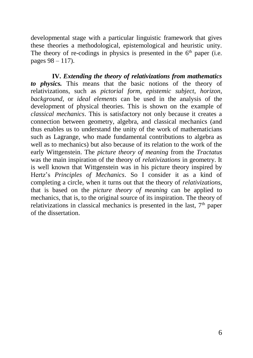developmental stage with a particular linguistic framework that gives these theories a methodological, epistemological and heuristic unity. The theory of re-codings in physics is presented in the  $6<sup>th</sup>$  paper (i.e. pages 98 – 117).

**IV.** *Extending the theory of relativizations from mathematics to physics.* This means that the basic notions of the theory of relativizations, such as *pictorial form*, *epistemic subject*, *horizon*, *background*, or *ideal elements* can be used in the analysis of the development of physical theories. This is shown on the example of *classical mechanics*. This is satisfactory not only because it creates a connection between geometry, algebra, and classical mechanics (and thus enables us to understand the unity of the work of mathematicians such as Lagrange, who made fundamental contributions to algebra as well as to mechanics) but also because of its relation to the work of the early Wittgenstein. The *picture theory of meaning* from the *Tractatus* was the main inspiration of the theory of *relativizations* in geometry. It is well known that Wittgenstein was in his picture theory inspired by Hertz's *Principles of Mechanics*. So I consider it as a kind of completing a circle, when it turns out that the theory of *relativizations*, that is based on the *picture theory of meaning* can be applied to mechanics, that is, to the original source of its inspiration. The theory of relativizations in classical mechanics is presented in the last,  $7<sup>th</sup>$  paper of the dissertation.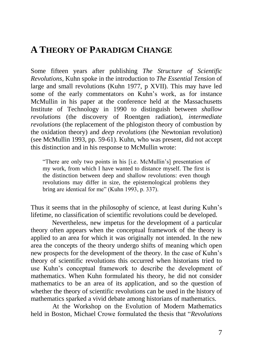## **A THEORY OF PARADIGM CHANGE**

Some fifteen years after publishing *The Structure of Scientific Revolutions*, Kuhn spoke in the introduction to *The Essential Tension* of large and small revolutions (Kuhn 1977, p XVII). This may have led some of the early commentators on Kuhn's work, as for instance McMullin in his paper at the conference held at the Massachusetts Institute of Technology in 1990 to distinguish between *shallow revolutions* (the discovery of Roentgen radiation), *intermediate revolutions* (the replacement of the phlogiston theory of combustion by the oxidation theory) and *deep revolutions* (the Newtonian revolution) (see McMullin 1993, pp. 59-61). Kuhn, who was present, did not accept this distinction and in his response to McMullin wrote:

"There are only two points in his [i.e. McMullin's] presentation of my work, from which I have wanted to distance myself. The first is the distinction between deep and shallow revolutions: even though revolutions may differ in size, the epistemological problems they bring are identical for me" (Kuhn 1993, p. 337).

Thus it seems that in the philosophy of science, at least during Kuhn's lifetime, no classification of scientific revolutions could be developed.

Nevertheless, new impetus for the development of a particular theory often appears when the conceptual framework of the theory is applied to an area for which it was originally not intended. In the new area the concepts of the theory undergo shifts of meaning which open new prospects for the development of the theory. In the case of Kuhn's theory of scientific revolutions this occurred when historians tried to use Kuhn's conceptual framework to describe the development of mathematics. When Kuhn formulated his theory, he did not consider mathematics to be an area of its application, and so the question of whether the theory of scientific revolutions can be used in the history of mathematics sparked a vivid debate among historians of mathematics.

At the Workshop on the Evolution of Modern Mathematics held in Boston, Michael Crowe formulated the thesis that "*Revolutions*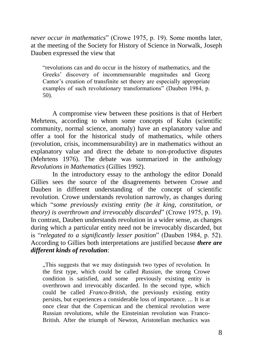*never occur in mathematics*" (Crowe 1975, p. 19). Some months later, at the meeting of the Society for History of Science in Norwalk, Joseph Dauben expressed the view that

"revolutions can and do occur in the history of mathematics, and the Greeks' discovery of incommensurable magnitudes and Georg Cantor's creation of transfinite set theory are especially appropriate examples of such revolutionary transformations" (Dauben 1984, p. 50).

A compromise view between these positions is that of Herbert Mehrtens, according to whom some concepts of Kuhn (scientific community, normal science, anomaly) have an explanatory value and offer a tool for the historical study of mathematics, while others (revolution, crisis, incommensurability) are in mathematics without an explanatory value and direct the debate to non-productive disputes (Mehrtens 1976). The debate was summarized in the anthology *Revolutions in Mathematics* (Gillies 1992).

In the introductory essay to the anthology the editor Donald Gillies sees the source of the disagreements between Crowe and Dauben in different understanding of the concept of scientific revolution. Crowe understands revolution narrowly, as changes during which "*some previously existing entity (be it king, constitution, or theory) is overthrown and irrevocably discarded*" (Crowe 1975, p. 19). In contrast, Dauben understands revolution in a wider sense, as changes during which a particular entity need not be irrevocably discarded, but is "*relegated to a significantly lesser position*" (Dauben 1984, p. 52). According to Gillies both interpretations are justified because *there are different kinds of revolution*:

...This suggests that we may distinguish two types of revolution. In the first type, which could be called *Russian*, the strong Crowe condition is satisfied, and some previously existing entity is overthrown and irrevocably discarded. In the second type, which could be called *Franco-British*, the previously existing entity persists, but experiences a considerable loss of importance. ... It is at once clear that the Copernican and the chemical revolution were Russian revolutions, while the Einsteinian revolution was Franco-British. After the triumph of Newton, Aristotelian mechanics was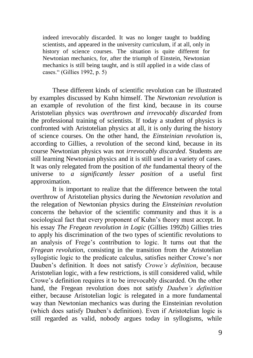indeed irrevocably discarded. It was no longer taught to budding scientists, and appeared in the university curriculum, if at all, only in history of science courses. The situation is quite different for Newtonian mechanics, for, after the triumph of Einstein, Newtonian mechanics is still being taught, and is still applied in a wide class of cases." (Gillies 1992, p. 5)

These different kinds of scientific revolution can be illustrated by examples discussed by Kuhn himself. The *Newtonian revolution* is an example of revolution of the first kind, because in its course Aristotelian physics was *overthrown and irrevocably discarded* from the professional training of scientists. If today a student of physics is confronted with Aristotelian physics at all, it is only during the history of science courses. On the other hand, the *Einsteinian revolution* is, according to Gillies, a revolution of the second kind, because in its course Newtonian physics was not *irrevocably discarded*. Students are still learning Newtonian physics and it is still used in a variety of cases. It was only relegated from the position of *the* fundamental theory of the universe to *a significantly lesser position* of a useful first approximation.

It is important to realize that the difference between the total overthrow of Aristotelian physics during the *Newtonian revolution* and the relegation of Newtonian physics during the *Einsteinian revolution* concerns the behavior of the scientific community and thus it is a sociological fact that every proponent of Kuhn's theory must accept. In his essay *The Fregean revolution in Logic* (Gillies 1992b) Gillies tries to apply his discrimination of the two types of scientific revolutions to an analysis of Frege's contribution to logic. It turns out that the *Fregean revolution*, consisting in the transition from the Aristotelian syllogistic logic to the predicate calculus, satisfies neither Crowe's nor Dauben's definition. It does not satisfy *Crowe's definition*, because Aristotelian logic, with a few restrictions, is still considered valid, while Crowe's definition requires it to be irrevocably discarded. On the other hand, the Fregean revolution does not satisfy *Dauben's definition* either, because Aristotelian logic is relegated in a more fundamental way than Newtonian mechanics was during the Einsteinian revolution (which does satisfy Dauben's definition). Even if Aristotelian logic is still regarded as valid, nobody argues today in syllogisms, while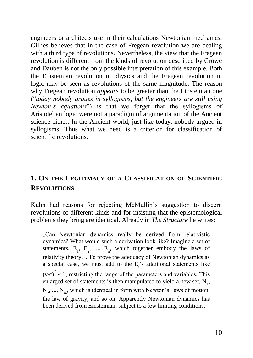engineers or architects use in their calculations Newtonian mechanics. Gillies believes that in the case of Fregean revolution we are dealing with a third type of revolutions. Nevertheless, the view that the Fregean revolution is different from the kinds of revolution described by Crowe and Dauben is not the only possible interpretation of this example. Both the Einsteinian revolution in physics and the Fregean revolution in logic may be seen as revolutions of the same magnitude. The reason why Fregean revolution *appears* to be greater than the Einsteinian one ("*today nobody argues in syllogisms, but the engineers are still using Newton's equations*") is that we forget that the syllogisms of Aristotelian logic were not a paradigm of argumentation of the Ancient science either. In the Ancient world, just like today, nobody argued in syllogisms. Thus what we need is a criterion for classification of scientific revolutions.

### **1. ON THE LEGITIMACY OF A CLASSIFICATION OF SCIENTIFIC REVOLUTIONS**

Kuhn had reasons for rejecting McMullin's suggestion to discern revolutions of different kinds and for insisting that the epistemological problems they bring are identical. Already in *The Structure* he writes:

..Can Newtonian dynamics really be derived from relativistic dynamics? What would such a derivation look like? Imagine a set of statements,  $E_1$ ,  $E_2$ , ...,  $E_n$ , which together embody the laws of relativity theory. ...To prove the adequacy of Newtonian dynamics as a special case, we must add to the  $E_i$ 's additional statements like  $(v/c)^2 \ll 1$ , restricting the range of the parameters and variables. This enlarged set of statements is then manipulated to yield a new set,  $N_1$ ,  $N_2, ..., N_m$ , which is identical in form with Newton's laws of motion, the law of gravity, and so on. Apparently Newtonian dynamics has been derived from Einsteinian, subject to a few limiting conditions.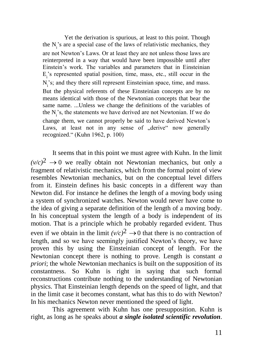Yet the derivation is spurious, at least to this point. Though the  $N_i$ 's are a special case of the laws of relativistic mechanics, they are not Newton's Laws. Or at least they are not unless those laws are reinterpreted in a way that would have been impossible until after Einstein's work. The variables and parameters that in Einsteinian Ei 's represented spatial position, time, mass, etc., still occur in the  $N_i$ 's; and they there still represent Einsteinian space, time, and mass. But the physical referents of these Einsteinian concepts are by no means identical with those of the Newtonian concepts that bear the same name. ...Unless we change the definitions of the variables of the  $N_i$ 's, the statements we have derived are not Newtonian. If we do change them, we cannot properly be said to have derived Newton's Laws, at least not in any sense of "derive" now generally recognized." (Kuhn 1962, p. 100)

It seems that in this point we must agree with Kuhn. In the limit  $(v/c)^2 \rightarrow 0$  we really obtain not Newtonian mechanics, but only a fragment of relativistic mechanics, which from the formal point of view resembles Newtonian mechanics, but on the conceptual level differs from it. Einstein defines his basic concepts in a different way than Newton did. For instance he defines the length of a moving body using a system of synchronized watches. Newton would never have come to the idea of giving a separate definition of the length of a moving body. In his conceptual system the length of a body is independent of its motion. That is a principle which he probably regarded evident. Thus even if we obtain in the limit  $(v/c)^2 \rightarrow 0$  that there is no contraction of length, and so we have seemingly justified Newton's theory, we have proven this by using the Einsteinian concept of length. For the Newtonian concept there is nothing to prove. Length is constant *a priori*; the whole Newtonian mechanics is built on the supposition of its constantness. So Kuhn is right in saying that such formal reconstructions contribute nothing to the understanding of Newtonian physics. That Einsteinian length depends on the speed of light, and that in the limit case it becomes constant, what has this to do with Newton? In his mechanics Newton never mentioned the speed of light.

This agreement with Kuhn has one presupposition. Kuhn is right, as long as he speaks about *a single isolated scientific revolution*.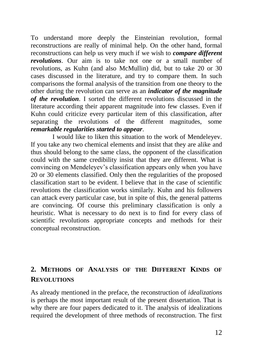To understand more deeply the Einsteinian revolution, formal reconstructions are really of minimal help. On the other hand, formal reconstructions can help us very much if we wish to *compare different revolutions*. Our aim is to take not one or a small number of revolutions, as Kuhn (and also McMullin) did, but to take 20 or 30 cases discussed in the literature, and try to compare them. In such comparisons the formal analysis of the transition from one theory to the other during the revolution can serve as an *indicator of the magnitude of the revolution*. I sorted the different revolutions discussed in the literature according their apparent magnitude into few classes. Even if Kuhn could criticize every particular item of this classification, after separating the revolutions of the different magnitudes, some *remarkable regularities started to appear*.

I would like to liken this situation to the work of Mendeleyev. If you take any two chemical elements and insist that they are alike and thus should belong to the same class, the opponent of the classification could with the same credibility insist that they are different. What is convincing on Mendeleyev's classification appears only when you have 20 or 30 elements classified. Only then the regularities of the proposed classification start to be evident. I believe that in the case of scientific revolutions the classification works similarly. Kuhn and his followers can attack every particular case, but in spite of this, the general patterns are convincing. Of course this preliminary classification is only a heuristic. What is necessary to do next is to find for every class of scientific revolutions appropriate concepts and methods for their conceptual reconstruction.

### **2. METHODS OF ANALYSIS OF THE DIFFERENT KINDS OF REVOLUTIONS**

As already mentioned in the preface, the reconstruction of *idealizations* is perhaps the most important result of the present dissertation. That is why there are four papers dedicated to it. The analysis of idealizations required the development of three methods of reconstruction. The first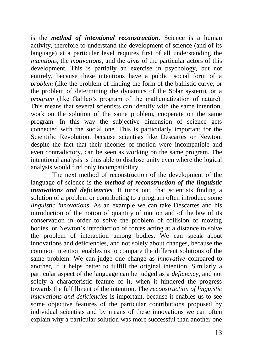is the *method of intentional reconstruction*. Science is a human activity, therefore to understand the development of science (and of its language) at a particular level requires first of all understanding the *intentions*, the *motivations*, and the *aims* of the particular actors of this development. This is partially an exercise in psychology, but not entirely, because these intentions have a public, social form of a *problem* (like the problem of finding the form of the ballistic curve, or the problem of determining the dynamics of the Solar system), or a *program* (like Galileo's program of the mathematization of nature). This means that several scientists can identify with the same intention, work on the solution of the same problem, cooperate on the same program. In this way the subjective dimension of science gets connected with the social one. This is particularly important for the Scientific Revolution, because scientists like Descartes or Newton, despite the fact that their theories of motion were incompatible and even contradictory, can be seen as working on the same program. The intentional analysis is thus able to disclose unity even where the logical analysis would find only incompatibility.

The next method of reconstruction of the development of the language of science is the *method of reconstruction of the linguistic innovations and deficiencies*. It turns out, that scientists finding a solution of a problem or contributing to a program often introduce some *linguistic innovations*. As an example we can take Descartes and his introduction of the notion of quantity of motion and of the law of its conservation in order to solve the problem of collision of moving bodies, or Newton's introduction of forces acting at a distance to solve the problem of interaction among bodies. We can speak about innovations and deficiencies, and not solely about changes, because the common intention enables us to compare the different solutions of the same problem. We can judge one change as *innovative* compared to another, if it helps better to fulfill the original intention. Similarly a particular aspect of the language can be judged as a *deficiency*, and not solely a characteristic feature of it, when it hindered the progress towards the fulfillment of the intention. The *reconstruction of linguistic innovations and deficiencies* is important, because it enables us to see some objective features of the particular contributions proposed by individual scientists and by means of these innovations we can often explain why a particular solution was more successful than another one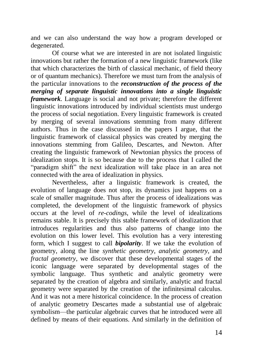and we can also understand the way how a program developed or degenerated.

Of course what we are interested in are not isolated linguistic innovations but rather the formation of a new linguistic framework (like that which characterizes the birth of classical mechanic, of field theory or of quantum mechanics). Therefore we must turn from the analysis of the particular innovations to the *reconstruction of the process of the merging of separate linguistic innovations into a single linguistic framework*. Language is social and not private; therefore the different linguistic innovations introduced by individual scientists must undergo the process of social negotiation. Every linguistic framework is created by merging of several innovations stemming from many different authors. Thus in the case discussed in the papers I argue, that the linguistic framework of classical physics was created by merging the innovations stemming from Galileo, Descartes, and Newton. After creating the linguistic framework of Newtonian physics the process of idealization stops. It is so because due to the process that I called the "paradigm shift" the next idealization will take place in an area not connected with the area of idealization in physics.

Nevertheless, after a linguistic framework is created, the evolution of language does not stop, its dynamics just happens on a scale of smaller magnitude. Thus after the process of idealizations was completed, the development of the linguistic framework of physics occurs at the level of *re-codings*, while the level of idealizations remains stable. It is precisely this stable framework of idealization that introduces regularities and thus also patterns of change into the evolution on this lower level. This evolution has a very interesting form, which I suggest to call *bipolarity*. If we take the evolution of geometry, along the line *synthetic geometry*, *analytic geometry*, and *fractal geometry*, we discover that these developmental stages of the iconic language were separated by developmental stages of the symbolic language. Thus synthetic and analytic geometry were separated by the creation of algebra and similarly, analytic and fractal geometry were separated by the creation of the infinitesimal calculus. And it was not a mere historical coincidence. In the process of creation of analytic geometry Descartes made a substantial use of algebraic symbolism—the particular algebraic curves that he introduced were all defined by means of their equations. And similarly in the definition of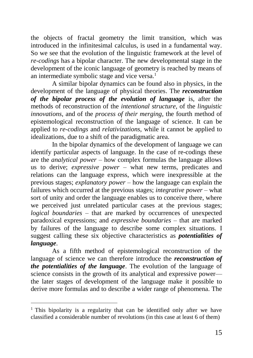the objects of fractal geometry the limit transition, which was introduced in the infinitesimal calculus, is used in a fundamental way. So we see that the evolution of the linguistic framework at the level of *re-codings* has a bipolar character. The new developmental stage in the development of the iconic language of geometry is reached by means of an intermediate symbolic stage and vice versa.<sup>1</sup>

A similar bipolar dynamics can be found also in physics, in the development of the language of physical theories. The *reconstruction of the bipolar process of the evolution of language* is, after the methods of reconstruction of the *intentional structure*, of the *linguistic innovations*, and of the *process of their merging*, the fourth method of epistemological reconstruction of the language of science. It can be applied to *re-codings* and *relativizations*, while it cannot be applied to idealizations, due to a shift of the paradigmatic area.

In the bipolar dynamics of the development of language we can identify particular aspects of language. In the case of re-codings these are the *analytical power* – how complex formulas the language allows us to derive; *expressive power* – what new terms, predicates and relations can the language express, which were inexpressible at the previous stages; *explanatory power* – how the language can explain the failures which occurred at the previous stages; *integrative power* – what sort of unity and order the language enables us to conceive there, where we perceived just unrelated particular cases at the previous stages; *logical boundaries* – that are marked by occurrences of unexpected paradoxical expressions; and *expressive boundaries* – that are marked by failures of the language to describe some complex situations. I suggest calling these six objective characteristics as *potentialities of language*.

As a fifth method of epistemological reconstruction of the language of science we can therefore introduce the *reconstruction of the potentialities of the language*. The evolution of the language of science consists in the growth of its analytical and expressive power the later stages of development of the language make it possible to derive more formulas and to describe a wider range of phenomena. The

<u>.</u>

<sup>&</sup>lt;sup>1</sup> This bipolarity is a regularity that can be identified only after we have classified a considerable number of revolutions (in this case at least 6 of them)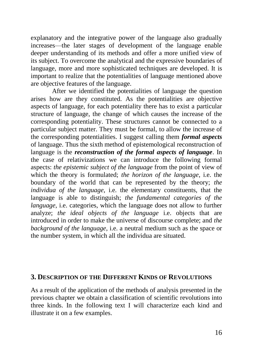explanatory and the integrative power of the language also gradually increases—the later stages of development of the language enable deeper understanding of its methods and offer a more unified view of its subject. To overcome the analytical and the expressive boundaries of language, more and more sophisticated techniques are developed. It is important to realize that the potentialities of language mentioned above are objective features of the language.

After we identified the potentialities of language the question arises how are they constituted. As the potentialities are objective aspects of language, for each potentiality there has to exist a particular structure of language, the change of which causes the increase of the corresponding potentiality. These structures cannot be connected to a particular subject matter. They must be formal, to allow the increase of the corresponding potentialities. I suggest calling them *formal aspects* of language. Thus the sixth method of epistemological reconstruction of language is the *reconstruction of the formal aspects of language*. In the case of relativizations we can introduce the following formal aspects: *the epistemic subject of the language* from the point of view of which the theory is formulated; *the horizon of the language*, i.e. the boundary of the world that can be represented by the theory; *the individua of the language*, i.e. the elementary constituents, that the language is able to distinguish; *the fundamental categories of the language*, *i.e.* categories, which the language does not allow to further analyze; *the ideal objects of the language* i.e. objects that are introduced in order to make the universe of discourse complete; and *the background of the language*, i.e. a neutral medium such as the space or the number system, in which all the individua are situated.

#### **3. DESCRIPTION OF THE DIFFERENT KINDS OF REVOLUTIONS**

As a result of the application of the methods of analysis presented in the previous chapter we obtain a classification of scientific revolutions into three kinds. In the following text I will characterize each kind and illustrate it on a few examples.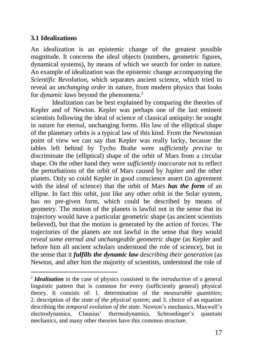#### **3.1 Idealizations**

<u>.</u>

An idealization is an epistemic change of the greatest possible magnitude. It concerns the ideal objects (numbers, geometric figures, dynamical systems), by means of which we search for order in nature. An example of idealization was the epistemic change accompanying the *Scientific Revolution*, which separates ancient science, which tried to reveal an *unchanging order* in nature, from modern physics that looks for *dynamic laws* beyond the phenomena.<sup>2</sup>

Idealization can be best explained by comparing the theories of Kepler and of Newton. Kepler was perhaps one of the last eminent scientists following the ideal of science of classical antiquity: he sought in nature for eternal, unchanging forms. His law of the elliptical shape of the planetary orbits is a typical law of this kind. From the Newtonian point of view we can say that Kepler was really lucky, because the tables left behind by Tycho Brahe were *sufficiently precise* to discriminate the (elliptical) shape of the orbit of Mars from a circular shape. On the other hand they were *sufficiently inaccurate* not to reflect the perturbations of the orbit of Mars caused by Jupiter and the other planets. Only so could Kepler in good conscience assert (in agreement with the ideal of science) that the orbit of Mars *has the form* of an ellipse. In fact this orbit, just like any other orbit in the Solar system, has no pre-given form, which could be described by means of geometry. The motion of the planets is lawful not in the sense that its trajectory would have a particular geometric shape (as ancient scientists believed), but that the motion is generated by the action of forces. The trajectories of the planets are not lawful in the sense that they would *reveal some eternal and unchangeable geometric shape* (as Kepler and before him all ancient scholars understood the role of science), but in the sense that it *fulfills the dynamic law describing their generation* (as Newton, and after him the majority of scientists, understood the role of

<sup>2</sup> *Idealization* in the case of physics consisted in the *introduction* of a general linguistic pattern that is common for every (sufficiently general) physical theory. It consists of: 1. determination of the *measurable quantities*; 2. description of the *state of the physical system*; and 3. choice of an equation describing the *temporal evolution of the state*. Newton's mechanics, Maxwell's electrodynamics, Clausius' thermodynamics, Schroedinger's quantum mechanics, and many other theories have this common structure.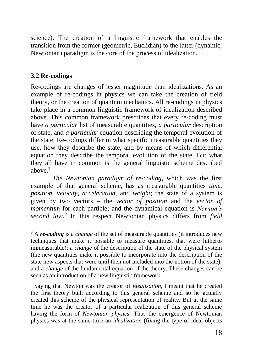science). The creation of a linguistic framework that enables the transition from the former (geometric, Euclidian) to the latter (dynamic, Newtonian) paradigm is the core of the process of idealization.

#### **3.2 Re-codings**

<u>.</u>

Re-codings are changes of lesser magnitude than idealizations. As an example of re-codings in physics we can take the creation of field theory, or the creation of quantum mechanics. All re-codings in physics take place in a common linguistic framework of idealization described above. This common framework prescribes that every re-coding must have *a particular* list of measurable quantities, *a particular* description of state, and *a particular* equation describing the temporal evolution of the state. Re-codings differ in what specific measurable quantities they use, how they describe the state, and by means of which differential equation they describe the temporal evolution of the state. But what they all have in common is the general linguistic scheme described above.<sup>3</sup>

*The Newtonian paradigm of re-coding*, which was the first example of that general scheme, has as measurable quantities *time*, *position*, *velocity*, *acceleration*, and *weight*; the state of a system is given by two vectors – the *vector of position* and the *vector of momentum* for each particle; and the dynamical equation is *Newton's second law*. 4 In this respect Newtonian physics differs from *field* 

<sup>&</sup>lt;sup>3</sup> A *re-coding* is a *change* of the set of measurable quantities (it introduces new techniques that make it possible to measure quantities, that were hitherto immeasurable); a *change* of the description of the state of the physical system (the new quantities make it possible to incorporate into the description of the state new aspects that were until then not included into the notion of the state); and a *change* of the fundamental equation of the theory. These changes can be seen as an introduction of a new linguistic framework.

<sup>4</sup> Saying that Newton was the creator of *idealization*, I meant that he created the first theory built according to this general scheme and so he actually created this scheme of the physical representation of reality. But at the same time he was the creator of a particular realization of this general scheme having the form of *Newtonian physics*. Thus the emergence of Newtonian physics was at the same time an *idealization* (fixing the type of ideal objects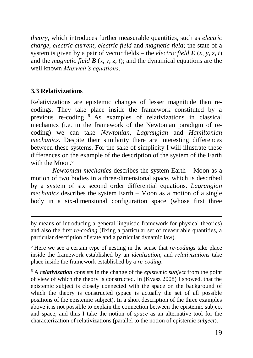*theory*, which introduces further measurable quantities, such as *electric charge*, *electric current*, *electric field* and *magnetic field*; the state of a system is given by a pair of vector fields – the *electric field*  $\bf{E}$  (*x*, *y*, *z*, *t*) and the *magnetic field*  $\mathbf{B}$  (*x*, *y*, *z*, *t*); and the dynamical equations are the well known *Maxwell's equations*.

#### **3.3 Relativizations**

<u>.</u>

Relativizations are epistemic changes of lesser magnitude than recodings. They take place inside the framework constituted by a previous re-coding. <sup>5</sup> As examples of relativizations in classical mechanics (i.e. in the framework of the Newtonian paradigm of recoding) we can take *Newtonian*, *Lagrangian* and *Hamiltonian mechanics*. Despite their similarity there are interesting differences between these systems. For the sake of simplicity I will illustrate these differences on the example of the description of the system of the Earth with the Moon.<sup>6</sup>

*Newtonian mechanics* describes the system Earth – Moon as a motion of two bodies in a three-dimensional space, which is described by a system of six second order differential equations. *Lagrangian mechanics* describes the system Earth – Moon as a motion of a single body in a six-dimensional configuration space (whose first three

<sup>5</sup> Here we see a certain type of nesting in the sense that *re-codings* take place inside the framework established by an *idealization*, and *relativizations* take place inside the framework established by a *re-coding*.

<sup>6</sup> A *relativization* consists in the change of the *epistemic subject* from the point of view of which the theory is constructed. In (Kvasz 2008) I showed, that the epistemic subject is closely connected with the space on the background of which the theory is constructed (space is actually the set of all possible positions of the epistemic subject). In a short description of the three examples above it is not possible to explain the connection between the epistemic subject and space, and thus I take the notion of *space* as an alternative tool for the characterization of relativizations (parallel to the notion of epistemic *subject*).

by means of introducing a general linguistic framework for physical theories) and also the first *re-coding* (fixing a particular set of measurable quantities, a particular description of state and a particular dynamic law).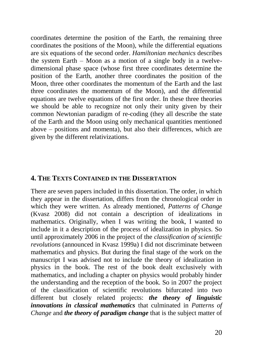coordinates determine the position of the Earth, the remaining three coordinates the positions of the Moon), while the differential equations are six equations of the second order. *Hamiltonian mechanics* describes the system Earth – Moon as a motion of a single body in a twelvedimensional phase space (whose first three coordinates determine the position of the Earth, another three coordinates the position of the Moon, three other coordinates the momentum of the Earth and the last three coordinates the momentum of the Moon), and the differential equations are twelve equations of the first order. In these three theories we should be able to recognize not only their unity given by their common Newtonian paradigm of re-coding (they all describe the state of the Earth and the Moon using only mechanical quantities mentioned above – positions and momenta), but also their differences, which are given by the different relativizations.

#### **4. THE TEXTS CONTAINED IN THE DISSERTATION**

There are seven papers included in this dissertation. The order, in which they appear in the dissertation, differs from the chronological order in which they were written. As already mentioned, *Patterns of Change* (Kvasz 2008) did not contain a description of idealizations in mathematics. Originally, when I was writing the book, I wanted to include in it a description of the process of idealization in physics. So until approximately 2006 in the project of the *classification of scientific revolutions* (announced in Kvasz 1999a) I did not discriminate between mathematics and physics. But during the final stage of the work on the manuscript I was advised not to include the theory of idealization in physics in the book. The rest of the book dealt exclusively with mathematics, and including a chapter on physics would probably hinder the understanding and the reception of the book. So in 2007 the project of the classification of scientific revolutions bifurcated into two different but closely related projects: *the theory of linguistic innovations in classical mathematics* that culminated in *Patterns of Change* and *the theory of paradigm change* that is the subject matter of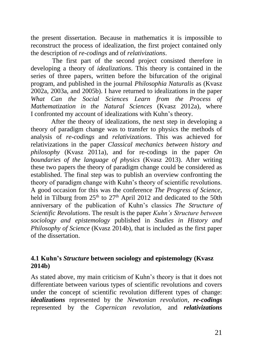the present dissertation. Because in mathematics it is impossible to reconstruct the process of idealization, the first project contained only the description of *re-codings* and of *relativizations*.

The first part of the second project consisted therefore in developing a theory of *idealizations*. This theory is contained in the series of three papers, written before the bifurcation of the original program, and published in the journal *Philosophia Naturalis* as (Kvasz 2002a, 2003a, and 2005b). I have returned to idealizations in the paper *What Can the Social Sciences Learn from the Process of Mathematization in the Natural Sciences* (Kvasz 2012a), where I confronted my account of idealizations with Kuhn's theory.

After the theory of idealizations, the next step in developing a theory of paradigm change was to transfer to physics the methods of analysis of *re-codings* and *relativizations*. This was achieved for relativizations in the paper *Classical mechanics between history and philosophy* (Kvasz 2011a), and for re-codings in the paper *On boundaries of the language of physics* (Kvasz 2013). After writing these two papers the theory of paradigm change could be considered as established. The final step was to publish an overview confronting the theory of paradigm change with Kuhn's theory of scientific revolutions. A good occasion for this was the conference *The Progress of Science*, held in Tilburg from  $25<sup>th</sup>$  to  $27<sup>th</sup>$  April 2012 and dedicated to the 50th anniversary of the publication of Kuhn's classics *The Structure of Scientific Revolutions*. The result is the paper *Kuhn's Structure between sociology and epistemology* published in *Studies in History and Philosophy of Science* (Kvasz 2014b), that is included as the first paper of the dissertation.

#### **4.1 Kuhn's** *Structure* **between sociology and epistemology (Kvasz 2014b)**

As stated above, my main criticism of Kuhn's theory is that it does not differentiate between various types of scientific revolutions and covers under the concept of scientific revolution different types of change: *idealizations* represented by the *Newtonian revolution*, *re-codings* represented by the *Copernican revolution*, and *relativizations*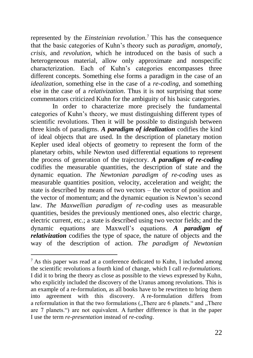represented by the *Einsteinian revolution*. <sup>7</sup> This has the consequence that the basic categories of Kuhn's theory such as *paradigm*, *anomaly*, *crisis*, and *revolution*, which he introduced on the basis of such a heterogeneous material, allow only approximate and nonspecific characterization. Each of Kuhn's categories encompasses three different concepts. Something else forms a paradigm in the case of an *idealization*, something else in the case of a *re-coding*, and something else in the case of a *relativization*. Thus it is not surprising that some commentators criticized Kuhn for the ambiguity of his basic categories.

In order to characterize more precisely the fundamental categories of Kuhn's theory, we must distinguishing different types of scientific revolutions. Then it will be possible to distinguish between three kinds of paradigms. *A paradigm of idealization* codifies the kind of ideal objects that are used. In the description of planetary motion Kepler used ideal objects of geometry to represent the form of the planetary orbits, while Newton used differential equations to represent the process of generation of the trajectory. *A paradigm of re-coding* codifies the measurable quantities, the description of state and the dynamic equation. *The Newtonian paradigm of re-coding* uses as measurable quantities position, velocity, acceleration and weight; the state is described by means of two vectors – the vector of position and the vector of momentum; and the dynamic equation is Newton's second law. *The Maxwellian paradigm of re-coding* uses as measurable quantities, besides the previously mentioned ones, also electric charge, electric current, etc.; a state is described using two vector fields; and the dynamic equations are Maxwell's equations. *A paradigm of relativization* codifies the type of space, the nature of objects and the way of the description of action. *The paradigm of Newtonian* 

<u>.</u>

<sup>7</sup> As this paper was read at a conference dedicated to Kuhn, I included among the scientific revolutions a fourth kind of change, which I call *re-formulations*. I did it to bring the theory as close as possible to the views expressed by Kuhn, who explicitly included the discovery of the Uranus among revolutions. This is an example of a re-formulation, as all books have to be rewritten to bring them into agreement with this discovery. A re-formulation differs from a reformulation in that the two formulations ("There are 6 planets." and "There" are 7 planets.") are not equivalent. A further difference is that in the paper I use the term *re-presentation* instead of *re-coding*.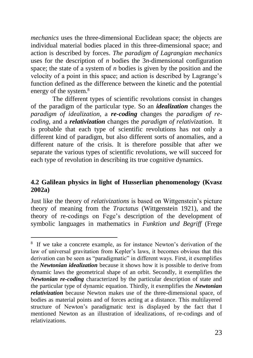*mechanics* uses the three-dimensional Euclidean space; the objects are individual material bodies placed in this three-dimensional space; and action is described by forces. *The paradigm of Lagrangian mechanics* uses for the description of *n* bodies the 3*n*-dimensional configuration space; the state of a system of *n* bodies is given by the position and the velocity of a point in this space; and action is described by Lagrange's function defined as the difference between the kinetic and the potential energy of the system.<sup>8</sup>

The different types of scientific revolutions consist in changes of the paradigm of the particular type. So an *idealization* changes the *paradigm of idealization*, a *re-coding* changes the *paradigm of recoding*, and a *relativization* changes the *paradigm of relativization*. It is probable that each type of scientific revolutions has not only a different kind of paradigm, but also different sorts of anomalies, and a different nature of the crisis. It is therefore possible that after we separate the various types of scientific revolutions, we will succeed for each type of revolution in describing its true cognitive dynamics.

#### **4.2 Galilean physics in light of Husserlian phenomenology (Kvasz 2002a)**

Just like the theory of *relativizations* is based on Wittgenstein's picture theory of meaning from the *Tractatus* (Wittgenstein 1921), and the theory of re-codings on Fege's description of the development of symbolic languages in mathematics in *Funktion und Begriff* (Frege

<u>.</u>

<sup>&</sup>lt;sup>8</sup> If we take a concrete example, as for instance Newton's derivation of the law of universal gravitation from Kepler's laws, it becomes obvious that this derivation can be seen as "paradigmatic" in different ways. First, it exemplifies the *Newtonian idealization* because it shows how it is possible to derive from dynamic laws the geometrical shape of an orbit. Secondly, it exemplifies the *Newtonian re-coding* characterized by the particular description of state and the particular type of dynamic equation. Thirdly, it exemplifies the *Newtonian relativization* because Newton makes use of the three-dimensional space, of bodies as material points and of forces acting at a distance. This multilayered structure of Newton's paradigmatic text is displayed by the fact that I mentioned Newton as an illustration of idealizations, of re-codings and of relativizations.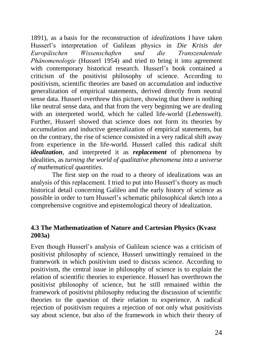1891), as a basis for the reconstruction of *idealizations* I have taken Husserl's interpretation of Galilean physics in *Die Krisis der Europäischen Wissenschaften und die Transzendentale Phänomenologie* (Husserl 1954) and tried to bring it into agreement with contemporary historical research. Husserl's book contained a criticism of the positivist philosophy of science. According to positivism, scientific theories are based on accumulation and inductive generalization of empirical statements, derived directly from neutral sense data. Husserl overthrew this picture, showing that there is nothing like neutral sense data, and that from the very beginning we are dealing with an interpreted world, which he called life-world (*Lebenswelt*). Further, Husserl showed that science does not form its theories by accumulation and inductive generalization of empirical statements, but on the contrary, the rise of science consisted in a very radical shift away from experience in the life-world. Husserl called this radical shift *idealization*, and interpreted it as *replacement* of phenomena by idealities, as *turning the world of qualitative phenomena into a universe of mathematical quantities*.

The first step on the road to a theory of idealizations was an analysis of this replacement. I tried to put into Husserl's theory as much historical detail concerning Galileo and the early history of science as possible in order to turn Husserl's schematic philosophical sketch into a comprehensive cognitive and epistemological theory of idealization.

#### **4.3 The Mathematization of Nature and Cartesian Physics (Kvasz 2003a)**

Even though Husserl's analysis of Galilean science was a criticism of positivist philosophy of science, Husserl unwittingly remained in the framework in which positivism used to discuss science. According to positivism, the central issue in philosophy of science is to explain the relation of scientific theories to experience. Husserl has overthrown the positivist philosophy of science, but he still remained within the framework of positivist philosophy reducing the discussion of scientific theories to the question of their relation to experience. A radical rejection of positivism requires a rejection of not only what positivists say about science, but also of the framework in which their theory of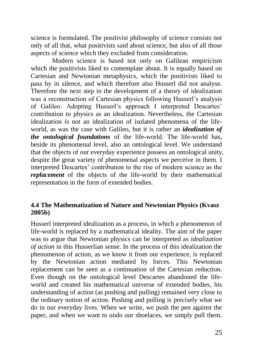science is formulated. The positivist philosophy of science consists not only of all that, what positivists said about science, but also of all those aspects of science which they excluded from consideration.

Modern science is based not only on Galilean empiricism which the positivists liked to contemplate about. It is equally based on Cartesian and Newtonian metaphysics, which the positivists liked to pass by in silence, and which therefore also Husserl did not analyse. Therefore the next step in the development of a theory of idealization was a reconstruction of Cartesian physics following Husserl's analysis of Galileo. Adopting Husserl's approach I interpreted Descartes' contribution to physics as an idealization. Nevertheless, the Cartesian idealization is not an idealization of isolated phenomena of the lifeworld, as was the case with Galileo, but it is rather an *idealization of the ontological foundations* of the life-world. The life-world has, beside its phenomenal level, also an ontological level. We understand that the objects of our everyday experience possess an ontological unity, despite the great variety of phenomenal aspects we perceive in them. I interpreted Descartes' contribution to the rise of modern science as the *replacement* of the objects of the life-world by their mathematical representation in the form of extended bodies.

#### **4.4 The Mathematization of Nature and Newtonian Physics (Kvasz 2005b)**

Husserl interpreted idealization as a process, in which a phenomenon of life-world is replaced by a mathematical ideality. The aim of the paper was to argue that Newtonian physics can be interpreted as *idealization of action* in this Husserlian sense. In the process of this idealization the phenomenon of action, as we know it from our experience, is replaced by the Newtonian action mediated by forces. This Newtonian replacement can be seen as a continuation of the Cartesian reduction. Even though on the ontological level Descartes abandoned the lifeworld and created his mathematical universe of extended bodies, his understanding of action (as pushing and pulling) remained very close to the ordinary notion of action. Pushing and pulling is precisely what we do in our everyday lives. When we write, we push the pen against the paper, and when we want to undo our shoelaces, we simply pull them.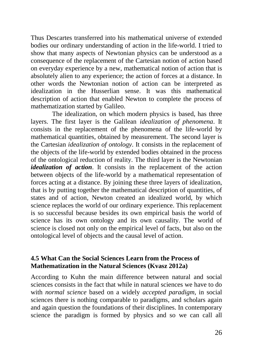Thus Descartes transferred into his mathematical universe of extended bodies our ordinary understanding of action in the life-world. I tried to show that many aspects of Newtonian physics can be understood as a consequence of the replacement of the Cartesian notion of action based on everyday experience by a new, mathematical notion of action that is absolutely alien to any experience; the action of forces at a distance. In other words the Newtonian notion of action can be interpreted as idealization in the Husserlian sense. It was this mathematical description of action that enabled Newton to complete the process of mathematization started by Galileo.

The idealization, on which modern physics is based, has three layers. The first layer is the Galilean *idealization of phenomena*. It consists in the replacement of the phenomena of the life-world by mathematical quantities, obtained by measurement. The second layer is the Cartesian *idealization of ontology*. It consists in the replacement of the objects of the life-world by extended bodies obtained in the process of the ontological reduction of reality. The third layer is the Newtonian *idealization of action*. It consists in the replacement of the action between objects of the life-world by a mathematical representation of forces acting at a distance. By joining these three layers of idealization, that is by putting together the mathematical description of quantities, of states and of action, Newton created an idealized world, by which science replaces the world of our ordinary experience. This replacement is so successful because besides its own empirical basis the world of science has its own ontology and its own causality. The world of science is closed not only on the empirical level of facts, but also on the ontological level of objects and the causal level of action.

#### **4.5 What Can the Social Sciences Learn from the Process of Mathematization in the Natural Sciences (Kvasz 2012a)**

According to Kuhn the main difference between natural and social sciences consists in the fact that while in natural sciences we have to do with *normal science* based on a widely *accepted paradigm*, in social sciences there is nothing comparable to paradigms, and scholars again and again question the foundations of their disciplines. In contemporary science the paradigm is formed by physics and so we can call all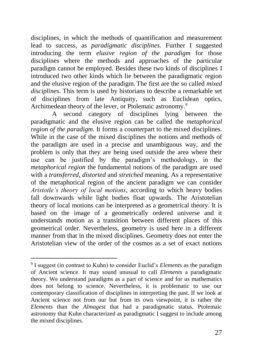disciplines, in which the methods of quantification and measurement lead to success, as *paradigmatic disciplines*. Further I suggested introducing the term *elusive region of the paradigm* for those disciplines where the methods and approaches of the particular paradigm cannot be employed. Besides these two kinds of disciplines I introduced two other kinds which lie between the paradigmatic region and the elusive region of the paradigm. The first are the so called *mixed disciplines*. This term is used by historians to describe a remarkable set of disciplines from late Antiquity, such as Euclidean optics, Archimedean theory of the lever, or Ptolemaic astronomy. 9

A second category of disciplines lying between the paradigmatic and the elusive region can be called the *metaphorical region of the paradigm*. It forms a counterpart to the mixed disciplines. While in the case of the mixed disciplines the notions and methods of the paradigm are used in a precise and unambiguous way, and the problem is only that they are being used outside the area where their use can be justified by the paradigm's methodology, in the *metaphorical region* the fundamental notions of the paradigm are used with a *transferred*, *distorted* and *stretched* meaning. As a representative of the metaphorical region of the ancient paradigm we can consider *Aristotle's theory of local motions*, according to which heavy bodies fall downwards while light bodies float upwards. The Aristotelian theory of local motions can be interpreted as a geometrical theory. It is based on the image of a geometrically ordered universe and it understands motion as a transition between different places of this geometrical order. Nevertheless, geometry is used here in a different manner from that in the mixed disciplines. Geometry does not enter the Aristotelian view of the order of the cosmos as a set of exact notions

<u>.</u>

<sup>9</sup> I suggest (in contrast to Kuhn) to consider Euclid's *Elements* as the paradigm of Ancient science. It may sound unusual to call *Elements* a paradigmatic theory. We understand paradigms as a part of science and for us mathematics does not belong to science. Nevertheless, it is problematic to use our contemporary classification of disciplines in interpreting the past. If we look at Ancient science not from our but from its own viewpoint, it is rather the *Elements* than the *Almagest* that had a paradigmatic status. Ptolemaic astronomy that Kuhn characterized as paradigmatic I suggest to include among the mixed disciplines.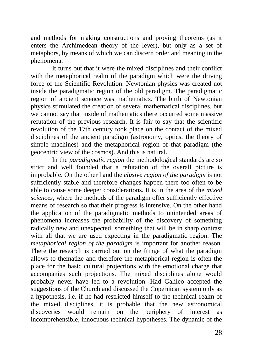and methods for making constructions and proving theorems (as it enters the Archimedean theory of the lever), but only as a set of metaphors, by means of which we can discern order and meaning in the phenomena.

It turns out that it were the mixed disciplines and their conflict with the metaphorical realm of the paradigm which were the driving force of the Scientific Revolution. Newtonian physics was created not inside the paradigmatic region of the old paradigm. The paradigmatic region of ancient science was mathematics. The birth of Newtonian physics stimulated the creation of several mathematical disciplines, but we cannot say that inside of mathematics there occurred some massive refutation of the previous research. It is fair to say that the scientific revolution of the 17th century took place on the contact of the mixed disciplines of the ancient paradigm (astronomy, optics, the theory of simple machines) and the metaphorical region of that paradigm (the geocentric view of the cosmos). And this is natural.

In the *paradigmatic region* the methodological standards are so strict and well founded that a refutation of the overall picture is improbable. On the other hand the *elusive region of the paradigm* is not sufficiently stable and therefore changes happen there too often to be able to cause some deeper considerations. It is in the area of the *mixed sciences*, where the methods of the paradigm offer sufficiently effective means of research so that their progress is intensive. On the other hand the application of the paradigmatic methods to unintended areas of phenomena increases the probability of the discovery of something radically new and unexpected, something that will be in sharp contrast with all that we are used expecting in the paradigmatic region. The *metaphorical region of the paradigm* is important for another reason. There the research is carried out on the fringe of what the paradigm allows to thematize and therefore the metaphorical region is often the place for the basic cultural projections with the emotional charge that accompanies such projections. The mixed disciplines alone would probably never have led to a revolution. Had Galileo accepted the suggestions of the Church and discussed the Copernican system only as a hypothesis, i.e. if he had restricted himself to the technical realm of the mixed disciplines, it is probable that the new astronomical discoveries would remain on the periphery of interest as incomprehensible, innocuous technical hypotheses. The dynamic of the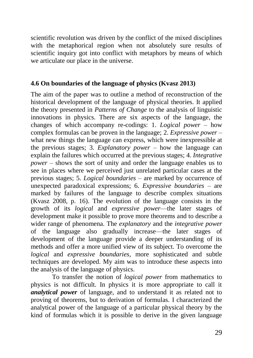scientific revolution was driven by the conflict of the mixed disciplines with the metaphorical region when not absolutely sure results of scientific inquiry got into conflict with metaphors by means of which we articulate our place in the universe.

#### **4.6 On boundaries of the language of physics (Kvasz 2013)**

The aim of the paper was to outline a method of reconstruction of the historical development of the language of physical theories. It applied the theory presented in *Patterns of Change* to the analysis of linguistic innovations in physics. There are six aspects of the language, the changes of which accompany re-codings: 1. *Logical power* – how complex formulas can be proven in the language; 2. *Expressive power* – what new things the language can express, which were inexpressible at the previous stages; 3. *Explanatory power* – how the language can explain the failures which occurred at the previous stages; 4. *Integrative power* – shows the sort of unity and order the language enables us to see in places where we perceived just unrelated particular cases at the previous stages; 5. *Logical boundaries* – are marked by occurrence of unexpected paradoxical expressions; 6. *Expressive boundaries* – are marked by failures of the language to describe complex situations (Kvasz 2008, p. 16). The evolution of the language consists in the growth of its *logical* and *expressive power*—the later stages of development make it possible to prove more theorems and to describe a wider range of phenomena. The *explanatory* and the *integrative power* of the language also gradually increase—the later stages of development of the language provide a deeper understanding of its methods and offer a more unified view of its subject. To overcome the *logical* and *expressive boundaries*, more sophisticated and subtle techniques are developed. My aim was to introduce these aspects into the analysis of the language of physics.

To transfer the notion of *logical power* from mathematics to physics is not difficult. In physics it is more appropriate to call it *analytical power* of language, and to understand it as related not to proving of theorems, but to derivation of formulas. I characterized the analytical power of the language of a particular physical theory by the kind of formulas which it is possible to derive in the given language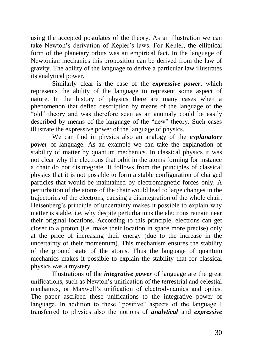using the accepted postulates of the theory. As an illustration we can take Newton's derivation of Kepler's laws. For Kepler, the elliptical form of the planetary orbits was an empirical fact. In the language of Newtonian mechanics this proposition can be derived from the law of gravity. The ability of the language to derive a particular law illustrates its analytical power.

Similarly clear is the case of the *expressive power*, which represents the ability of the language to represent some aspect of nature. In the history of physics there are many cases when a phenomenon that defied description by means of the language of the "old" theory and was therefore seen as an anomaly could be easily described by means of the language of the "new" theory. Such cases illustrate the expressive power of the language of physics.

We can find in physics also an analogy of the *explanatory power* of language. As an example we can take the explanation of stability of matter by quantum mechanics. In classical physics it was not clear why the electrons that orbit in the atoms forming for instance a chair do not disintegrate. It follows from the principles of classical physics that it is not possible to form a stable configuration of charged particles that would be maintained by electromagnetic forces only. A perturbation of the atoms of the chair would lead to large changes in the trajectories of the electrons, causing a disintegration of the whole chair. Heisenberg's principle of uncertainty makes it possible to explain why matter is stable, i.e. why despite perturbations the electrons remain near their original locations. According to this principle, electrons can get closer to a proton (i.e. make their location in space more precise) only at the price of increasing their energy (due to the increase in the uncertainty of their momentum). This mechanism ensures the stability of the ground state of the atoms. Thus the language of quantum mechanics makes it possible to explain the stability that for classical physics was a mystery.

Illustrations of the *integrative power* of language are the great unifications, such as Newton's unification of the terrestrial and celestial mechanics, or Maxwell's unification of electrodynamics and optics. The paper ascribed these unifications to the integrative power of language. In addition to these "positive" aspects of the language I transferred to physics also the notions of *analytical* and *expressive*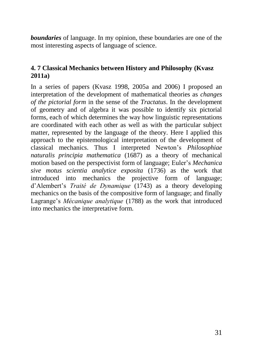*boundaries* of language. In my opinion, these boundaries are one of the most interesting aspects of language of science.

#### **4. 7 Classical Mechanics between History and Philosophy (Kvasz 2011a)**

In a series of papers (Kvasz 1998, 2005a and 2006) I proposed an interpretation of the development of mathematical theories as *changes of the pictorial form* in the sense of the *Tractatus*. In the development of geometry and of algebra it was possible to identify six pictorial forms, each of which determines the way how linguistic representations are coordinated with each other as well as with the particular subject matter, represented by the language of the theory. Here I applied this approach to the epistemological interpretation of the development of classical mechanics. Thus I interpreted Newton's *Philosophiae naturalis principia mathematica* (1687) as a theory of mechanical motion based on the perspectivist form of language; Euler's *Mechanica sive motus scientia analytice exposita* (1736) as the work that introduced into mechanics the projective form of language; d'Alembert's *Traité de Dynamique* (1743) as a theory developing mechanics on the basis of the compositive form of language; and finally Lagrange's *Mécanique analytique* (1788) as the work that introduced into mechanics the interpretative form.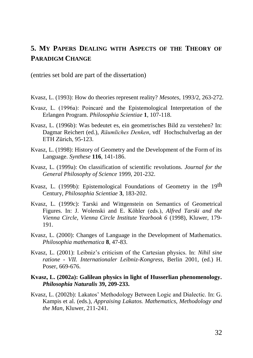### **5. MY PAPERS DEALING WITH ASPECTS OF THE THEORY OF PARADIGM CHANGE**

(entries set bold are part of the dissertation)

- Kvasz, L. (1993): How do theories represent reality? *Mesotes*, 1993/2, 263-272.
- Kvasz, L. (1996a): Poincaré and the Epistemological Interpretation of the Erlangen Program. *Philosophia Scientiae* **1**, 107-118.
- Kvasz, L. (1996b): Was bedeutet es, ein geometrisches Bild zu verstehen? In: Dagmar Reichert (ed.), *Räumliches Denken*, vdf Hochschulverlag an der ETH Zürich, 95-123.
- Kvasz, L. (1998): History of Geometry and the Development of the Form of its Language. *Synthese* **116**, 141-186.
- Kvasz, L. (1999a): On classification of scientific revolutions. *Journal for the General Philosophy of Science* 1999, 201-232.
- Kvasz, L. (1999b): Epistemological Foundations of Geometry in the 19th Century, *Philosophia Scientiae* **3**, 183-202.
- Kvasz, L. (1999c): Tarski and Wittgenstein on Semantics of Geometrical Figures. In: J. Wolenski and E. Köhler (eds.), *Alfred Tarski and the Vienna Circle, Vienna Circle Institute Yearbook 6* (1998), Kluwer, 179- 191.
- Kvasz, L. (2000): Changes of Language in the Development of Mathematics. *Philosophia mathematica* **8**, 47-83.
- Kvasz, L. (2001): Leibniz's criticism of the Cartesian physics. In: *Nihil sine ratione - VII. Internationaler Leibniz-Kongress*, Berlin 2001, (ed.) H. Poser, 669-676.

#### **Kvasz, L. (2002a): Galilean physics in light of Husserlian phenomenology.**  *Philosophia Naturalis* **39, 209-233.**

Kvasz, L. (2002b): Lakatos' Methodology Between Logic and Dialectic. In: G. Kampis et al. (eds.), *Appraising Lakatos. Mathematics, Methodology and the Man*, Kluwer, 211-241.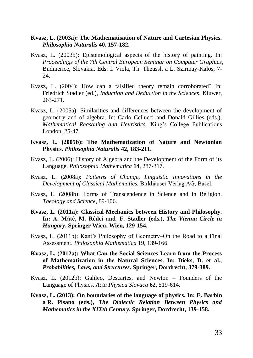#### **Kvasz, L. (2003a): The Mathematisation of Nature and Cartesian Physics.**  *Philosophia Naturalis* **40, 157-182.**

- Kvasz, L. (2003b): Epistemological aspects of the history of painting. In: *Proceedings of the 7th Central European Seminar on Computer Graphics*, Budmerice, Slovakia. Eds: I. Viola, Th. Theussl, a L. Szirmay-Kalos, 7- 24.
- Kvasz, L. (2004): How can a falsified theory remain corroborated? In: Friedrich Stadler (ed.), *Induction and Deduction in the Sciences*. Kluwer, 263-271.
- Kvasz, L. (2005a): Similarities and differences between the development of geometry and of algebra. In: Carlo Cellucci and Donald Gillies (eds.), *Mathematical Reasoning and Heuristics*. King's College Publications London, 25-47.
- **Kvasz, L. (2005b): The Mathematization of Nature and Newtonian Physics.** *Philosophia Naturalis* **42, 183-211.**
- Kvasz, L. (2006): History of Algebra and the Development of the Form of its Language. *Philosophia Mathematica* **14**, 287-317.
- Kvasz, L. (2008a): *Patterns of Change, Linguistic Innovations in the Development of Classical Mathematics.* Birkhäuser Verlag AG, Basel.
- Kvasz, L. (2008b): Forms of Transcendence in Science and in Religion. *Theology and Science*, 89-106.
- **Kvasz, L. (2011a): Classical Mechanics between History and Philosophy. In: A. Máté, M. Rédei and F. Stadler (eds.),** *The Vienna Circle in Hungary***. Springer Wien, Wien, 129-154.**
- Kvasz, L. (2011b): Kant's Philosophy of Geometry–On the Road to a Final Assessment. *Philosophia Mathematica* **19**, 139-166.
- **Kvasz, L. (2012a): What Can the Social Sciences Learn from the Process of Mathematization in the Natural Sciences. In: Dieks, D. et al.,**  *Probabilities, Laws, and Structures***. Springer, Dordrecht, 379-389.**
- Kvasz, L. (2012b): Galileo, Descartes, and Newton Founders of the Language of Physics. *Acta Physica Slovaca* **62**, 519-614.
- **Kvasz, L. (2013): On boundaries of the language of physics. In: E. Barbin a R. Pisano (eds.),** *The Dialectic Relation Between Physics and Mathematics in the XIXth Century***. Springer, Dordrecht, 139-158.**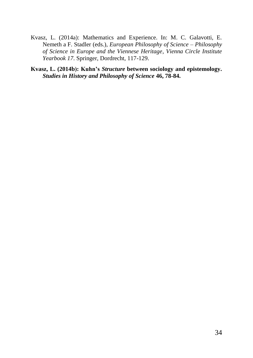- Kvasz, L. (2014a): Mathematics and Experience. In: M. C. Galavotti, E. Nemeth a F. Stadler (eds.), *European Philosophy of Science – Philosophy of Science in Europe and the Viennese Heritage*, *Vienna Circle Institute Yearbook 17*. Springer, Dordrecht, 117-129.
- **Kvasz, L. (2014b): Kuhn's** *Structure* **between sociology and epistemology.** *Studies in History and Philosophy of Science* **46, 78-84.**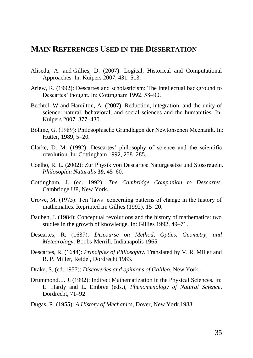### **MAIN REFERENCES USED IN THE DISSERTATION**

- Aliseda, A. and Gillies, D. (2007): Logical, Historical and Computational Approaches. In: Kuipers 2007, 431–513.
- Ariew, R. (1992): Descartes and scholasticism: The intellectual background to Descartes' thought. In: Cottingham 1992, 58–90.
- Bechtel, W and Hamilton, A. (2007): Reduction, integration, and the unity of science: natural, behavioral, and social sciences and the humanities. In: Kuipers 2007, 377–430.
- Böhme, G. (1989): Philosophische Grundlagen der Newtonschen Mechanik. In: Hutter, 1989, 5–20.
- Clarke, D. M. (1992): Descartes' philosophy of science and the scientific revolution. In: Cottingham 1992, 258–285.
- Coelho, R. L. (2002): Zur Physik von Descartes: Naturgesetze und Stossregeln. *Philosophia Naturalis* **39**, 45–60.
- Cottingham, J. (ed. 1992): *The Cambridge Companion to Descartes*. Cambridge UP, New York.
- Crowe, M. (1975): Ten 'laws' concerning patterns of change in the history of mathematics. Reprinted in: Gillies (1992), 15–20.
- Dauben, J. (1984): Conceptual revolutions and the history of mathematics: two studies in the growth of knowledge. In: Gillies 1992, 49–71.
- Descartes, R. (1637): *Discourse on Method, Optics, Geometry, and Meteorology*. Boobs-Merrill, Indianapolis 1965.
- Descartes, R. (1644): *Principles of Philosophy*. Translated by V. R. Miller and R. P. Miller, Reidel, Dordrecht 1983.
- Drake, S. (ed. 1957): *Discoveries and opinions of Galileo*. New York.
- Drummond, J. J. (1992): Indirect Mathematization in the Physical Sciences. In: L. Hardy and L. Embree (eds.), *Phenomenology of Natural Science*. Dordrecht, 71–92.
- Dugas, R. (1955): *A History of Mechanics*, Dover, New York 1988.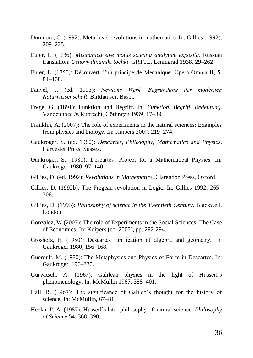- Dunmore, C. (1992): Meta-level revolutions in mathematics. In: Gillies (1992), 209–225.
- Euler, L. (1736): *Mechanica sive motus scientia analytice exposita*. Russian translation: *Osnovy dinamiki tochki*. GRTTL, Leningrad 1938, 29–262.
- Euler, L. (1750): Découvert d'un principe de Mécanique. Opera Omnia II, 5: 81–108.
- Fauvel, J. (ed. 1993): *Newtons Werk. Begründung der modernen Naturwissenschaft*. Birkhäuser, Basel.
- Frege, G. (1891): Funktion und Begriff. In: *Funktion, Begriff, Bedeutung*. Vandenhoec & Ruprecht, Göttingen 1989, 17–39.
- Franklin, A. (2007): The role of experiments in the natural sciences: Examples from physics and biology. In: Kuipers 2007, 219–274.
- Gaukroger, S. (ed. 1980): *Descartes, Philosophy, Mathematics and Physics*. Harvester Press, Sussex.
- Gaukroger, S. (1980): Descartes' Project for a Mathematical Physics. In: Gaukroger 1980, 97–140.
- Gillies, D. (ed. 1992): *Revolutions in Mathematics*. Clarendon Press, Oxford.
- Gillies, D. (1992b): The Fregean revolution in Logic. In: Gillies 1992, 265– 306.
- Gillies, D. (1993): *Philosophy of science in the Twentieth Century*. Blackwell, London.
- Gonzalez, W (2007): The role of Experiments in the Social Sciences: The Case of Economics. In: Kuipers (ed. 2007), pp. 292-294.
- Grosholz, E. (1980): Descartes' unification of algebra and geometry. In: Gaukroger 1980, 156–168.
- Gueroult, M. (1980): The Metaphysics and Physics of Force in Descartes. In: Gaukroger, 196–230.
- Gurwitsch, A. (1967): Galilean physics in the light of Husserl's phenomenology. In: McMullin 1967, 388–401.
- Hall, R. (1967): The significance of Galileo's thought for the history of science. In: McMullin, 67–81.
- Heelan P. A. (1987): Husserl's later philosophy of natural science. *Philosophy of Science* **54**, 368–390.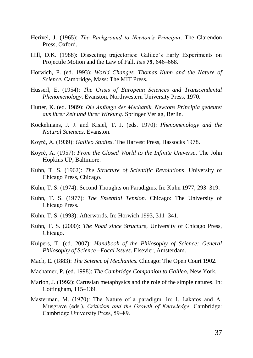- Herivel, J. (1965): *The Background to Newton's Principia*. The Clarendon Press, Oxford.
- Hill, D.K. (1988): Dissecting trajectories: Galileo's Early Experiments on Projectile Motion and the Law of Fall. *Isis* **79**, 646–668.
- Horwich, P. (ed. 1993): *World Changes. Thomas Kuhn and the Nature of Science.* Cambridge, Mass: The MIT Press.
- Husserl, E. (1954): *The Crisis of European Sciences and Transcendental Phenomenology*. Evanston, Northwestern University Press, 1970.
- Hutter, K. (ed. 1989): *Die Anfänge der Mechanik, Newtons Principia gedeutet aus ihrer Zeit und ihrer Wirkung*. Springer Verlag, Berlin.
- Kockelmans, J. J. and Kisiel, T. J. (eds. 1970): *Phenomenology and the Natural Sciences*. Evanston.
- Koyré, A. (1939): *Galileo Studies*. The Harvest Press, Hassocks 1978.
- Koyré, A. (1957): *From the Closed World to the Infinite Universe*. The John Hopkins UP, Baltimore.
- Kuhn, T. S. (1962): *The Structure of Scientific Revolutions*. University of Chicago Press, Chicago.
- Kuhn, T. S. (1974): Second Thoughts on Paradigms. In: Kuhn 1977, 293–319.
- Kuhn, T. S. (1977): *The Essential Tension.* Chicago: The University of Chicago Press.
- Kuhn, T. S. (1993): Afterwords. In: Horwich 1993, 311–341.
- Kuhn, T. S. (2000): *The Road since Structure,* University of Chicago Press, Chicago.
- Kuipers, T. (ed. 2007): *Handbook of the Philosophy of Science: General Philosophy of Science* –*Focal Issues*. Elsevier, Amsterdam.
- Mach, E. (1883): *The Science of Mechanics.* Chicago: The Open Court 1902.
- Machamer, P. (ed. 1998): *The Cambridge Companion to Galileo*, New York.
- Marion, J. (1992): Cartesian metaphysics and the role of the simple natures. In: Cottingham, 115–139.
- Masterman, M. (1970): The Nature of a paradigm. In: I. Lakatos and A. Musgrave (eds.), *Criticism and the Growth of Knowledge*. Cambridge: Cambridge University Press, 59–89.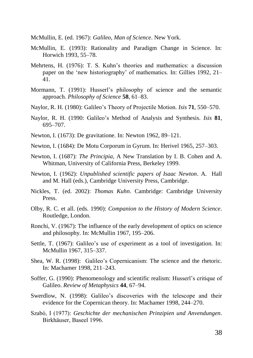McMullin, E. (ed. 1967): *Galileo, Man of Science*. New York.

- McMullin, E. (1993): Rationality and Paradigm Change in Science. In: Horwich 1993, 55–78.
- Mehrtens, H. (1976): T. S. Kuhn's theories and mathematics: a discussion paper on the 'new historiography' of mathematics. In: Gillies 1992, 21– 41.
- Mormann, T. (1991): Husserl's philosophy of science and the semantic approach. *Philosophy of Science* **58**, 61–83.
- Naylor, R. H. (1980): Galileo's Theory of Projectile Motion. *Isis* **71**, 550–570.
- Naylor, R. H. (1990: Galileo's Method of Analysis and Synthesis. *Isis* **81**, 695–707.
- Newton, I. (1673): De gravitatione. In: Newton 1962, 89–121.
- Newton, I. (1684): De Motu Corporum in Gyrum. In: Herivel 1965, 257–303.
- Newton, I. (1687): *The Principia*, A New Translation by I. B. Cohen and A. Whitman, University of California Press, Berkeley 1999.
- Newton, I. (1962): *Unpublished scientific papers of Isaac Newton*. A. Hall and M. Hall (eds.), Cambridge University Press, Cambridge.
- Nickles, T. (ed. 2002): *Thomas Kuhn*. Cambridge: Cambridge University Press.
- Olby, R. C. et all. (eds. 1990): *Companion to the History of Modern Science*. Routledge, London.
- Ronchi, V. (1967): The influence of the early development of optics on science and philosophy. In: McMullin 1967, 195–206.
- Settle, T. (1967): Galileo's use of experiment as a tool of investigation. In: McMullin 1967, 315–337.
- Shea, W. R. (1998): Galileo's Copernicanism: The science and the rhetoric. In: Machamer 1998, 211–243.
- Soffer, G. (1990): Phenomenology and scientific realism: Husserl's critique of Galileo. *Review of Metaphysics* **44**, 67–94.
- Swerdlow, N. (1998): Galileo's discoveries with the telescope and their evidence for the Copernican theory. In: Machamer 1998, 244–270.
- Szabó, I (1977): *Geschichte der mechanischen Prinzipien und Anvendungen*. Birkhäuser, Baseel 1996.